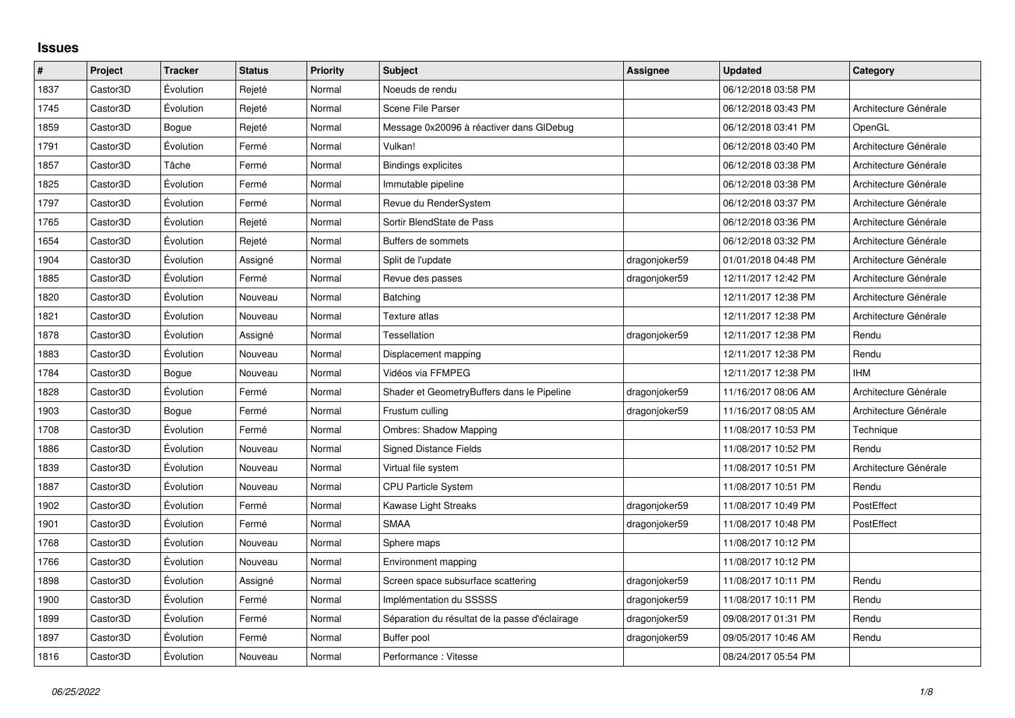## **Issues**

| $\sharp$ | Project  | <b>Tracker</b> | <b>Status</b> | Priority | <b>Subject</b>                                 | Assignee      | <b>Updated</b>      | Category              |
|----------|----------|----------------|---------------|----------|------------------------------------------------|---------------|---------------------|-----------------------|
| 1837     | Castor3D | Évolution      | Rejeté        | Normal   | Noeuds de rendu                                |               | 06/12/2018 03:58 PM |                       |
| 1745     | Castor3D | Évolution      | Rejeté        | Normal   | Scene File Parser                              |               | 06/12/2018 03:43 PM | Architecture Générale |
| 1859     | Castor3D | Bogue          | Rejeté        | Normal   | Message 0x20096 à réactiver dans GIDebug       |               | 06/12/2018 03:41 PM | OpenGL                |
| 1791     | Castor3D | Évolution      | Fermé         | Normal   | Vulkan!                                        |               | 06/12/2018 03:40 PM | Architecture Générale |
| 1857     | Castor3D | Tâche          | Fermé         | Normal   | <b>Bindings explicites</b>                     |               | 06/12/2018 03:38 PM | Architecture Générale |
| 1825     | Castor3D | Évolution      | Fermé         | Normal   | Immutable pipeline                             |               | 06/12/2018 03:38 PM | Architecture Générale |
| 1797     | Castor3D | Évolution      | Fermé         | Normal   | Revue du RenderSystem                          |               | 06/12/2018 03:37 PM | Architecture Générale |
| 1765     | Castor3D | Évolution      | Rejeté        | Normal   | Sortir BlendState de Pass                      |               | 06/12/2018 03:36 PM | Architecture Générale |
| 1654     | Castor3D | Évolution      | Rejeté        | Normal   | Buffers de sommets                             |               | 06/12/2018 03:32 PM | Architecture Générale |
| 1904     | Castor3D | Évolution      | Assigné       | Normal   | Split de l'update                              | dragonjoker59 | 01/01/2018 04:48 PM | Architecture Générale |
| 1885     | Castor3D | Évolution      | Fermé         | Normal   | Revue des passes                               | dragonjoker59 | 12/11/2017 12:42 PM | Architecture Générale |
| 1820     | Castor3D | Évolution      | Nouveau       | Normal   | Batching                                       |               | 12/11/2017 12:38 PM | Architecture Générale |
| 1821     | Castor3D | Évolution      | Nouveau       | Normal   | Texture atlas                                  |               | 12/11/2017 12:38 PM | Architecture Générale |
| 1878     | Castor3D | Évolution      | Assigné       | Normal   | <b>Tessellation</b>                            | dragonjoker59 | 12/11/2017 12:38 PM | Rendu                 |
| 1883     | Castor3D | Évolution      | Nouveau       | Normal   | Displacement mapping                           |               | 12/11/2017 12:38 PM | Rendu                 |
| 1784     | Castor3D | Bogue          | Nouveau       | Normal   | Vidéos via FFMPEG                              |               | 12/11/2017 12:38 PM | <b>IHM</b>            |
| 1828     | Castor3D | Évolution      | Fermé         | Normal   | Shader et GeometryBuffers dans le Pipeline     | dragonjoker59 | 11/16/2017 08:06 AM | Architecture Générale |
| 1903     | Castor3D | Bogue          | Fermé         | Normal   | Frustum culling                                | dragonjoker59 | 11/16/2017 08:05 AM | Architecture Générale |
| 1708     | Castor3D | Évolution      | Fermé         | Normal   | <b>Ombres: Shadow Mapping</b>                  |               | 11/08/2017 10:53 PM | Technique             |
| 1886     | Castor3D | Évolution      | Nouveau       | Normal   | <b>Signed Distance Fields</b>                  |               | 11/08/2017 10:52 PM | Rendu                 |
| 1839     | Castor3D | Évolution      | Nouveau       | Normal   | Virtual file system                            |               | 11/08/2017 10:51 PM | Architecture Générale |
| 1887     | Castor3D | Évolution      | Nouveau       | Normal   | CPU Particle System                            |               | 11/08/2017 10:51 PM | Rendu                 |
| 1902     | Castor3D | Évolution      | Fermé         | Normal   | Kawase Light Streaks                           | dragonjoker59 | 11/08/2017 10:49 PM | PostEffect            |
| 1901     | Castor3D | Évolution      | Fermé         | Normal   | <b>SMAA</b>                                    | dragonjoker59 | 11/08/2017 10:48 PM | PostEffect            |
| 1768     | Castor3D | Évolution      | Nouveau       | Normal   | Sphere maps                                    |               | 11/08/2017 10:12 PM |                       |
| 1766     | Castor3D | Évolution      | Nouveau       | Normal   | Environment mapping                            |               | 11/08/2017 10:12 PM |                       |
| 1898     | Castor3D | Évolution      | Assigné       | Normal   | Screen space subsurface scattering             | dragonjoker59 | 11/08/2017 10:11 PM | Rendu                 |
| 1900     | Castor3D | Évolution      | Fermé         | Normal   | Implémentation du SSSSS                        | dragonjoker59 | 11/08/2017 10:11 PM | Rendu                 |
| 1899     | Castor3D | Évolution      | Fermé         | Normal   | Séparation du résultat de la passe d'éclairage | dragonjoker59 | 09/08/2017 01:31 PM | Rendu                 |
| 1897     | Castor3D | Évolution      | Fermé         | Normal   | Buffer pool                                    | dragonjoker59 | 09/05/2017 10:46 AM | Rendu                 |
| 1816     | Castor3D | Évolution      | Nouveau       | Normal   | Performance: Vitesse                           |               | 08/24/2017 05:54 PM |                       |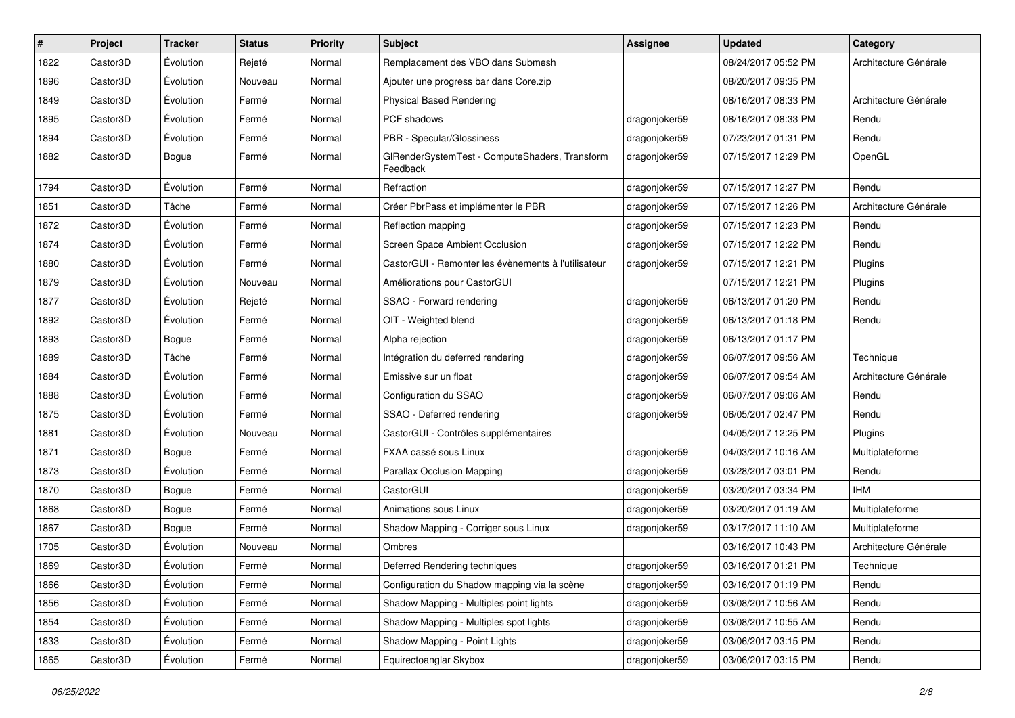| $\sharp$ | Project  | <b>Tracker</b> | <b>Status</b> | <b>Priority</b> | Subject                                                    | <b>Assignee</b> | <b>Updated</b>      | Category              |
|----------|----------|----------------|---------------|-----------------|------------------------------------------------------------|-----------------|---------------------|-----------------------|
| 1822     | Castor3D | Évolution      | Rejeté        | Normal          | Remplacement des VBO dans Submesh                          |                 | 08/24/2017 05:52 PM | Architecture Générale |
| 1896     | Castor3D | Évolution      | Nouveau       | Normal          | Ajouter une progress bar dans Core.zip                     |                 | 08/20/2017 09:35 PM |                       |
| 1849     | Castor3D | Évolution      | Fermé         | Normal          | <b>Physical Based Rendering</b>                            |                 | 08/16/2017 08:33 PM | Architecture Générale |
| 1895     | Castor3D | Évolution      | Fermé         | Normal          | PCF shadows                                                | dragonjoker59   | 08/16/2017 08:33 PM | Rendu                 |
| 1894     | Castor3D | Évolution      | Fermé         | Normal          | PBR - Specular/Glossiness                                  | dragonjoker59   | 07/23/2017 01:31 PM | Rendu                 |
| 1882     | Castor3D | Bogue          | Fermé         | Normal          | GIRenderSystemTest - ComputeShaders, Transform<br>Feedback | dragonjoker59   | 07/15/2017 12:29 PM | OpenGL                |
| 1794     | Castor3D | Évolution      | Fermé         | Normal          | Refraction                                                 | dragonjoker59   | 07/15/2017 12:27 PM | Rendu                 |
| 1851     | Castor3D | Tâche          | Fermé         | Normal          | Créer PbrPass et implémenter le PBR                        | dragonjoker59   | 07/15/2017 12:26 PM | Architecture Générale |
| 1872     | Castor3D | Évolution      | Fermé         | Normal          | Reflection mapping                                         | dragonjoker59   | 07/15/2017 12:23 PM | Rendu                 |
| 1874     | Castor3D | Évolution      | Fermé         | Normal          | Screen Space Ambient Occlusion                             | dragonjoker59   | 07/15/2017 12:22 PM | Rendu                 |
| 1880     | Castor3D | Évolution      | Fermé         | Normal          | CastorGUI - Remonter les évènements à l'utilisateur        | dragonjoker59   | 07/15/2017 12:21 PM | Plugins               |
| 1879     | Castor3D | Évolution      | Nouveau       | Normal          | Améliorations pour CastorGUI                               |                 | 07/15/2017 12:21 PM | Plugins               |
| 1877     | Castor3D | Évolution      | Rejeté        | Normal          | SSAO - Forward rendering                                   | dragonjoker59   | 06/13/2017 01:20 PM | Rendu                 |
| 1892     | Castor3D | Évolution      | Fermé         | Normal          | OIT - Weighted blend                                       | dragonjoker59   | 06/13/2017 01:18 PM | Rendu                 |
| 1893     | Castor3D | Bogue          | Fermé         | Normal          | Alpha rejection                                            | dragonjoker59   | 06/13/2017 01:17 PM |                       |
| 1889     | Castor3D | Tâche          | Fermé         | Normal          | Intégration du deferred rendering                          | dragonjoker59   | 06/07/2017 09:56 AM | Technique             |
| 1884     | Castor3D | Évolution      | Fermé         | Normal          | Emissive sur un float                                      | dragonjoker59   | 06/07/2017 09:54 AM | Architecture Générale |
| 1888     | Castor3D | Évolution      | Fermé         | Normal          | Configuration du SSAO                                      | dragonjoker59   | 06/07/2017 09:06 AM | Rendu                 |
| 1875     | Castor3D | Évolution      | Fermé         | Normal          | SSAO - Deferred rendering                                  | dragonjoker59   | 06/05/2017 02:47 PM | Rendu                 |
| 1881     | Castor3D | Évolution      | Nouveau       | Normal          | CastorGUI - Contrôles supplémentaires                      |                 | 04/05/2017 12:25 PM | Plugins               |
| 1871     | Castor3D | Bogue          | Fermé         | Normal          | FXAA cassé sous Linux                                      | dragonjoker59   | 04/03/2017 10:16 AM | Multiplateforme       |
| 1873     | Castor3D | Évolution      | Fermé         | Normal          | Parallax Occlusion Mapping                                 | dragonjoker59   | 03/28/2017 03:01 PM | Rendu                 |
| 1870     | Castor3D | Bogue          | Fermé         | Normal          | CastorGUI                                                  | dragonjoker59   | 03/20/2017 03:34 PM | <b>IHM</b>            |
| 1868     | Castor3D | <b>Bogue</b>   | Fermé         | Normal          | Animations sous Linux                                      | dragonjoker59   | 03/20/2017 01:19 AM | Multiplateforme       |
| 1867     | Castor3D | Bogue          | Fermé         | Normal          | Shadow Mapping - Corriger sous Linux                       | dragonjoker59   | 03/17/2017 11:10 AM | Multiplateforme       |
| 1705     | Castor3D | Évolution      | Nouveau       | Normal          | Ombres                                                     |                 | 03/16/2017 10:43 PM | Architecture Générale |
| 1869     | Castor3D | Évolution      | Fermé         | Normal          | Deferred Rendering techniques                              | dragonjoker59   | 03/16/2017 01:21 PM | Technique             |
| 1866     | Castor3D | Évolution      | Fermé         | Normal          | Configuration du Shadow mapping via la scène               | dragonjoker59   | 03/16/2017 01:19 PM | Rendu                 |
| 1856     | Castor3D | Évolution      | Fermé         | Normal          | Shadow Mapping - Multiples point lights                    | dragonjoker59   | 03/08/2017 10:56 AM | Rendu                 |
| 1854     | Castor3D | Évolution      | Fermé         | Normal          | Shadow Mapping - Multiples spot lights                     | dragonjoker59   | 03/08/2017 10:55 AM | Rendu                 |
| 1833     | Castor3D | Évolution      | Fermé         | Normal          | Shadow Mapping - Point Lights                              | dragonjoker59   | 03/06/2017 03:15 PM | Rendu                 |
| 1865     | Castor3D | Évolution      | Fermé         | Normal          | Equirectoanglar Skybox                                     | dragonjoker59   | 03/06/2017 03:15 PM | Rendu                 |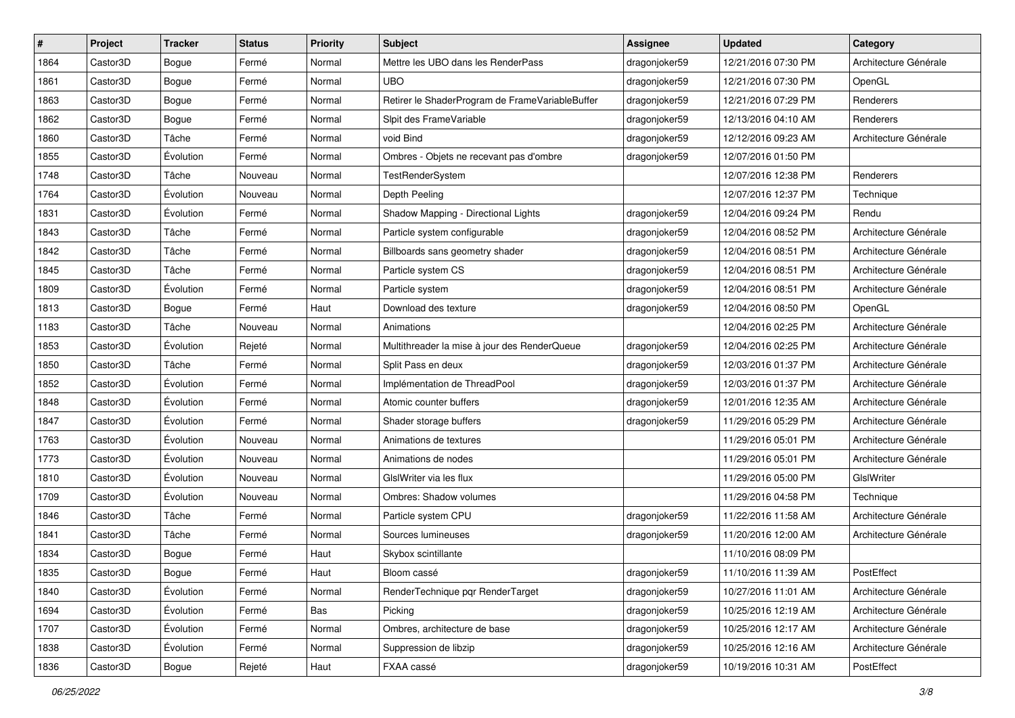| #    | Project  | <b>Tracker</b> | <b>Status</b> | <b>Priority</b> | <b>Subject</b>                                  | <b>Assignee</b> | <b>Updated</b>      | Category              |
|------|----------|----------------|---------------|-----------------|-------------------------------------------------|-----------------|---------------------|-----------------------|
| 1864 | Castor3D | Bogue          | Fermé         | Normal          | Mettre les UBO dans les RenderPass              | dragonjoker59   | 12/21/2016 07:30 PM | Architecture Générale |
| 1861 | Castor3D | <b>Bogue</b>   | Fermé         | Normal          | <b>UBO</b>                                      | dragonjoker59   | 12/21/2016 07:30 PM | OpenGL                |
| 1863 | Castor3D | Bogue          | Fermé         | Normal          | Retirer le ShaderProgram de FrameVariableBuffer | dragonjoker59   | 12/21/2016 07:29 PM | Renderers             |
| 1862 | Castor3D | Bogue          | Fermé         | Normal          | Sipit des FrameVariable                         | dragonjoker59   | 12/13/2016 04:10 AM | Renderers             |
| 1860 | Castor3D | Tâche          | Fermé         | Normal          | void Bind                                       | dragonjoker59   | 12/12/2016 09:23 AM | Architecture Générale |
| 1855 | Castor3D | Évolution      | Fermé         | Normal          | Ombres - Objets ne recevant pas d'ombre         | dragonjoker59   | 12/07/2016 01:50 PM |                       |
| 1748 | Castor3D | Tâche          | Nouveau       | Normal          | <b>TestRenderSystem</b>                         |                 | 12/07/2016 12:38 PM | Renderers             |
| 1764 | Castor3D | Évolution      | Nouveau       | Normal          | Depth Peeling                                   |                 | 12/07/2016 12:37 PM | Technique             |
| 1831 | Castor3D | Évolution      | Fermé         | Normal          | Shadow Mapping - Directional Lights             | dragonjoker59   | 12/04/2016 09:24 PM | Rendu                 |
| 1843 | Castor3D | Tâche          | Fermé         | Normal          | Particle system configurable                    | dragonjoker59   | 12/04/2016 08:52 PM | Architecture Générale |
| 1842 | Castor3D | Tâche          | Fermé         | Normal          | Billboards sans geometry shader                 | dragonjoker59   | 12/04/2016 08:51 PM | Architecture Générale |
| 1845 | Castor3D | Tâche          | Fermé         | Normal          | Particle system CS                              | dragonjoker59   | 12/04/2016 08:51 PM | Architecture Générale |
| 1809 | Castor3D | Évolution      | Fermé         | Normal          | Particle system                                 | dragonjoker59   | 12/04/2016 08:51 PM | Architecture Générale |
| 1813 | Castor3D | Bogue          | Fermé         | Haut            | Download des texture                            | dragonjoker59   | 12/04/2016 08:50 PM | OpenGL                |
| 1183 | Castor3D | Tâche          | Nouveau       | Normal          | Animations                                      |                 | 12/04/2016 02:25 PM | Architecture Générale |
| 1853 | Castor3D | Évolution      | Rejeté        | Normal          | Multithreader la mise à jour des RenderQueue    | dragonjoker59   | 12/04/2016 02:25 PM | Architecture Générale |
| 1850 | Castor3D | Tâche          | Fermé         | Normal          | Split Pass en deux                              | dragonjoker59   | 12/03/2016 01:37 PM | Architecture Générale |
| 1852 | Castor3D | Évolution      | Fermé         | Normal          | Implémentation de ThreadPool                    | dragonjoker59   | 12/03/2016 01:37 PM | Architecture Générale |
| 1848 | Castor3D | Évolution      | Fermé         | Normal          | Atomic counter buffers                          | dragonjoker59   | 12/01/2016 12:35 AM | Architecture Générale |
| 1847 | Castor3D | Évolution      | Fermé         | Normal          | Shader storage buffers                          | dragonjoker59   | 11/29/2016 05:29 PM | Architecture Générale |
| 1763 | Castor3D | Évolution      | Nouveau       | Normal          | Animations de textures                          |                 | 11/29/2016 05:01 PM | Architecture Générale |
| 1773 | Castor3D | Évolution      | Nouveau       | Normal          | Animations de nodes                             |                 | 11/29/2016 05:01 PM | Architecture Générale |
| 1810 | Castor3D | Évolution      | Nouveau       | Normal          | GIsIWriter via les flux                         |                 | 11/29/2016 05:00 PM | GIslWriter            |
| 1709 | Castor3D | Évolution      | Nouveau       | Normal          | Ombres: Shadow volumes                          |                 | 11/29/2016 04:58 PM | Technique             |
| 1846 | Castor3D | Tâche          | Fermé         | Normal          | Particle system CPU                             | dragonjoker59   | 11/22/2016 11:58 AM | Architecture Générale |
| 1841 | Castor3D | Tâche          | Fermé         | Normal          | Sources lumineuses                              | dragonjoker59   | 11/20/2016 12:00 AM | Architecture Générale |
| 1834 | Castor3D | Bogue          | Fermé         | Haut            | Skybox scintillante                             |                 | 11/10/2016 08:09 PM |                       |
| 1835 | Castor3D | Bogue          | Fermé         | Haut            | Bloom cassé                                     | dragonjoker59   | 11/10/2016 11:39 AM | PostEffect            |
| 1840 | Castor3D | Évolution      | Fermé         | Normal          | RenderTechnique pqr RenderTarget                | dragonjoker59   | 10/27/2016 11:01 AM | Architecture Générale |
| 1694 | Castor3D | Évolution      | Fermé         | Bas             | Picking                                         | dragonjoker59   | 10/25/2016 12:19 AM | Architecture Générale |
| 1707 | Castor3D | Évolution      | Fermé         | Normal          | Ombres, architecture de base                    | dragonjoker59   | 10/25/2016 12:17 AM | Architecture Générale |
| 1838 | Castor3D | Évolution      | Fermé         | Normal          | Suppression de libzip                           | dragonjoker59   | 10/25/2016 12:16 AM | Architecture Générale |
| 1836 | Castor3D | Bogue          | Rejeté        | Haut            | FXAA cassé                                      | dragonjoker59   | 10/19/2016 10:31 AM | PostEffect            |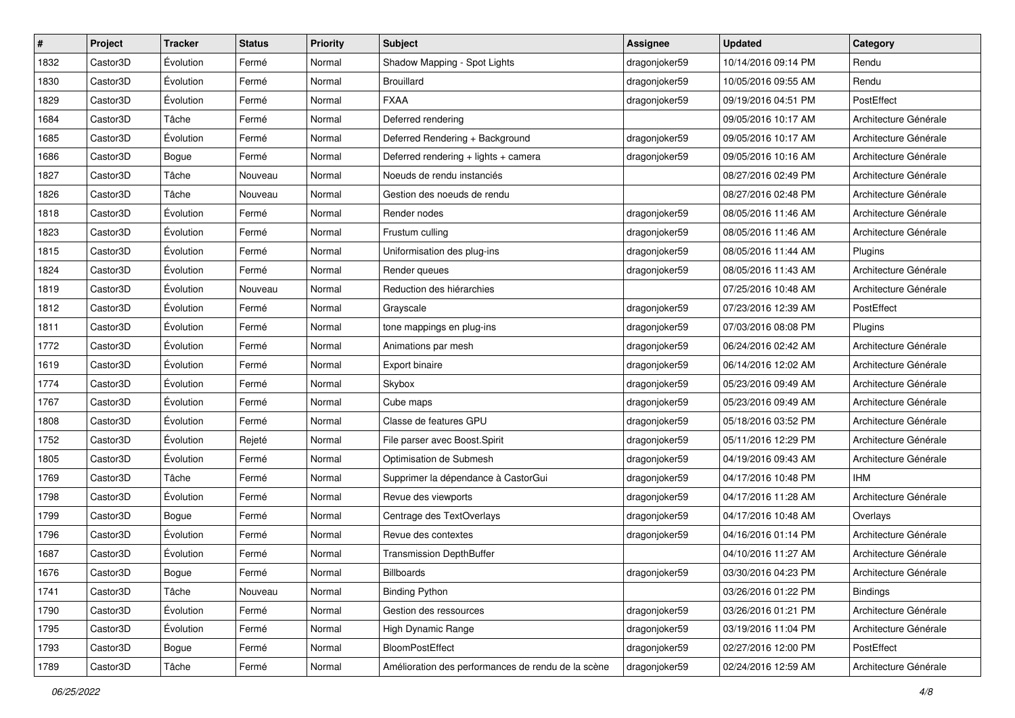| #    | Project  | <b>Tracker</b> | <b>Status</b> | <b>Priority</b> | Subject                                            | <b>Assignee</b> | <b>Updated</b>      | Category              |
|------|----------|----------------|---------------|-----------------|----------------------------------------------------|-----------------|---------------------|-----------------------|
| 1832 | Castor3D | Évolution      | Fermé         | Normal          | Shadow Mapping - Spot Lights                       | dragonjoker59   | 10/14/2016 09:14 PM | Rendu                 |
| 1830 | Castor3D | Évolution      | Fermé         | Normal          | <b>Brouillard</b>                                  | dragonjoker59   | 10/05/2016 09:55 AM | Rendu                 |
| 1829 | Castor3D | Évolution      | Fermé         | Normal          | <b>FXAA</b>                                        | dragonjoker59   | 09/19/2016 04:51 PM | PostEffect            |
| 1684 | Castor3D | Tâche          | Fermé         | Normal          | Deferred rendering                                 |                 | 09/05/2016 10:17 AM | Architecture Générale |
| 1685 | Castor3D | Évolution      | Fermé         | Normal          | Deferred Rendering + Background                    | dragonjoker59   | 09/05/2016 10:17 AM | Architecture Générale |
| 1686 | Castor3D | Bogue          | Fermé         | Normal          | Deferred rendering + lights + camera               | dragonjoker59   | 09/05/2016 10:16 AM | Architecture Générale |
| 1827 | Castor3D | Tâche          | Nouveau       | Normal          | Noeuds de rendu instanciés                         |                 | 08/27/2016 02:49 PM | Architecture Générale |
| 1826 | Castor3D | Tâche          | Nouveau       | Normal          | Gestion des noeuds de rendu                        |                 | 08/27/2016 02:48 PM | Architecture Générale |
| 1818 | Castor3D | Évolution      | Fermé         | Normal          | Render nodes                                       | dragonjoker59   | 08/05/2016 11:46 AM | Architecture Générale |
| 1823 | Castor3D | Évolution      | Fermé         | Normal          | Frustum culling                                    | dragonjoker59   | 08/05/2016 11:46 AM | Architecture Générale |
| 1815 | Castor3D | Évolution      | Fermé         | Normal          | Uniformisation des plug-ins                        | dragonjoker59   | 08/05/2016 11:44 AM | Plugins               |
| 1824 | Castor3D | Évolution      | Fermé         | Normal          | Render queues                                      | dragonjoker59   | 08/05/2016 11:43 AM | Architecture Générale |
| 1819 | Castor3D | Évolution      | Nouveau       | Normal          | Reduction des hiérarchies                          |                 | 07/25/2016 10:48 AM | Architecture Générale |
| 1812 | Castor3D | Évolution      | Fermé         | Normal          | Grayscale                                          | dragonjoker59   | 07/23/2016 12:39 AM | PostEffect            |
| 1811 | Castor3D | Évolution      | Fermé         | Normal          | tone mappings en plug-ins                          | dragonjoker59   | 07/03/2016 08:08 PM | Plugins               |
| 1772 | Castor3D | Évolution      | Fermé         | Normal          | Animations par mesh                                | dragonjoker59   | 06/24/2016 02:42 AM | Architecture Générale |
| 1619 | Castor3D | Évolution      | Fermé         | Normal          | Export binaire                                     | dragonjoker59   | 06/14/2016 12:02 AM | Architecture Générale |
| 1774 | Castor3D | Évolution      | Fermé         | Normal          | Skybox                                             | dragonjoker59   | 05/23/2016 09:49 AM | Architecture Générale |
| 1767 | Castor3D | Évolution      | Fermé         | Normal          | Cube maps                                          | dragonjoker59   | 05/23/2016 09:49 AM | Architecture Générale |
| 1808 | Castor3D | Évolution      | Fermé         | Normal          | Classe de features GPU                             | dragonjoker59   | 05/18/2016 03:52 PM | Architecture Générale |
| 1752 | Castor3D | Évolution      | Rejeté        | Normal          | File parser avec Boost.Spirit                      | dragonjoker59   | 05/11/2016 12:29 PM | Architecture Générale |
| 1805 | Castor3D | Évolution      | Fermé         | Normal          | Optimisation de Submesh                            | dragonjoker59   | 04/19/2016 09:43 AM | Architecture Générale |
| 1769 | Castor3D | Tâche          | Fermé         | Normal          | Supprimer la dépendance à CastorGui                | dragonjoker59   | 04/17/2016 10:48 PM | <b>IHM</b>            |
| 1798 | Castor3D | Évolution      | Fermé         | Normal          | Revue des viewports                                | dragonjoker59   | 04/17/2016 11:28 AM | Architecture Générale |
| 1799 | Castor3D | Bogue          | Fermé         | Normal          | Centrage des TextOverlays                          | dragonjoker59   | 04/17/2016 10:48 AM | Overlays              |
| 1796 | Castor3D | Évolution      | Fermé         | Normal          | Revue des contextes                                | dragonjoker59   | 04/16/2016 01:14 PM | Architecture Générale |
| 1687 | Castor3D | Évolution      | Fermé         | Normal          | <b>Transmission DepthBuffer</b>                    |                 | 04/10/2016 11:27 AM | Architecture Générale |
| 1676 | Castor3D | Bogue          | Fermé         | Normal          | Billboards                                         | dragonjoker59   | 03/30/2016 04:23 PM | Architecture Générale |
| 1741 | Castor3D | Tâche          | Nouveau       | Normal          | <b>Binding Python</b>                              |                 | 03/26/2016 01:22 PM | <b>Bindings</b>       |
| 1790 | Castor3D | Évolution      | Fermé         | Normal          | Gestion des ressources                             | dragonjoker59   | 03/26/2016 01:21 PM | Architecture Générale |
| 1795 | Castor3D | Évolution      | Fermé         | Normal          | High Dynamic Range                                 | dragonjoker59   | 03/19/2016 11:04 PM | Architecture Générale |
| 1793 | Castor3D | Bogue          | Fermé         | Normal          | BloomPostEffect                                    | dragonjoker59   | 02/27/2016 12:00 PM | PostEffect            |
| 1789 | Castor3D | Tâche          | Fermé         | Normal          | Amélioration des performances de rendu de la scène | dragonjoker59   | 02/24/2016 12:59 AM | Architecture Générale |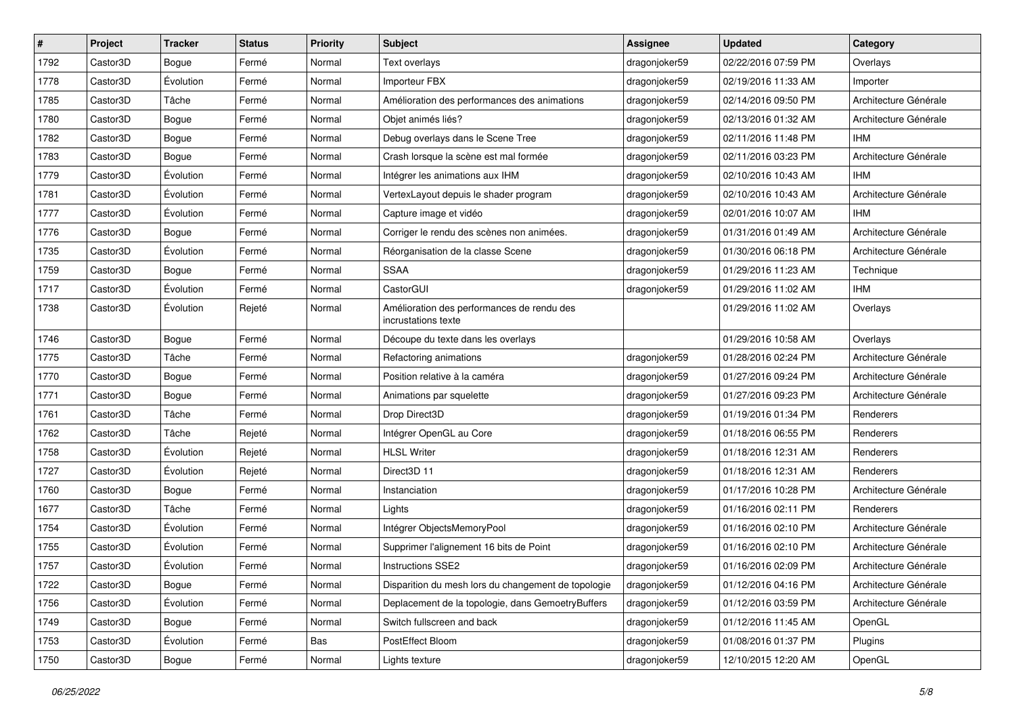| $\pmb{\#}$ | Project               | <b>Tracker</b> | <b>Status</b> | <b>Priority</b> | Subject                                                           | <b>Assignee</b> | <b>Updated</b>      | Category              |
|------------|-----------------------|----------------|---------------|-----------------|-------------------------------------------------------------------|-----------------|---------------------|-----------------------|
| 1792       | Castor3D              | <b>Bogue</b>   | Fermé         | Normal          | Text overlays                                                     | dragonjoker59   | 02/22/2016 07:59 PM | Overlays              |
| 1778       | Castor3D              | Évolution      | Fermé         | Normal          | Importeur FBX                                                     | dragonjoker59   | 02/19/2016 11:33 AM | Importer              |
| 1785       | Castor3D              | Tâche          | Fermé         | Normal          | Amélioration des performances des animations                      | dragonjoker59   | 02/14/2016 09:50 PM | Architecture Générale |
| 1780       | Castor3D              | Bogue          | Fermé         | Normal          | Objet animés liés?                                                | dragonjoker59   | 02/13/2016 01:32 AM | Architecture Générale |
| 1782       | Castor3D              | <b>Bogue</b>   | Fermé         | Normal          | Debug overlays dans le Scene Tree                                 | dragonjoker59   | 02/11/2016 11:48 PM | <b>IHM</b>            |
| 1783       | Castor3D              | Bogue          | Fermé         | Normal          | Crash lorsque la scène est mal formée                             | dragonjoker59   | 02/11/2016 03:23 PM | Architecture Générale |
| 1779       | Castor3D              | Évolution      | Fermé         | Normal          | Intégrer les animations aux IHM                                   | dragonjoker59   | 02/10/2016 10:43 AM | <b>IHM</b>            |
| 1781       | Castor3D              | Évolution      | Fermé         | Normal          | VertexLayout depuis le shader program                             | dragonjoker59   | 02/10/2016 10:43 AM | Architecture Générale |
| 1777       | Castor3D              | Évolution      | Fermé         | Normal          | Capture image et vidéo                                            | dragonjoker59   | 02/01/2016 10:07 AM | <b>IHM</b>            |
| 1776       | Castor3D              | <b>Bogue</b>   | Fermé         | Normal          | Corriger le rendu des scènes non animées.                         | dragonjoker59   | 01/31/2016 01:49 AM | Architecture Générale |
| 1735       | Castor3D              | Évolution      | Fermé         | Normal          | Réorganisation de la classe Scene                                 | dragonjoker59   | 01/30/2016 06:18 PM | Architecture Générale |
| 1759       | Castor3D              | Bogue          | Fermé         | Normal          | <b>SSAA</b>                                                       | dragonjoker59   | 01/29/2016 11:23 AM | Technique             |
| 1717       | Castor3D              | Évolution      | Fermé         | Normal          | CastorGUI                                                         | dragonjoker59   | 01/29/2016 11:02 AM | <b>IHM</b>            |
| 1738       | Castor3D              | Évolution      | Rejeté        | Normal          | Amélioration des performances de rendu des<br>incrustations texte |                 | 01/29/2016 11:02 AM | Overlays              |
| 1746       | Castor3D              | Bogue          | Fermé         | Normal          | Découpe du texte dans les overlays                                |                 | 01/29/2016 10:58 AM | Overlays              |
| 1775       | Castor3D              | Tâche          | Fermé         | Normal          | Refactoring animations                                            | dragonjoker59   | 01/28/2016 02:24 PM | Architecture Générale |
| 1770       | Castor3D              | <b>Bogue</b>   | Fermé         | Normal          | Position relative à la caméra                                     | dragonjoker59   | 01/27/2016 09:24 PM | Architecture Générale |
| 1771       | Castor3D              | Bogue          | Fermé         | Normal          | Animations par squelette                                          | dragonjoker59   | 01/27/2016 09:23 PM | Architecture Générale |
| 1761       | Castor3D              | Tâche          | Fermé         | Normal          | Drop Direct3D                                                     | dragonjoker59   | 01/19/2016 01:34 PM | Renderers             |
| 1762       | Castor3D              | Tâche          | Rejeté        | Normal          | Intégrer OpenGL au Core                                           | dragonjoker59   | 01/18/2016 06:55 PM | Renderers             |
| 1758       | Castor3D              | Évolution      | Rejeté        | Normal          | <b>HLSL Writer</b>                                                | dragonjoker59   | 01/18/2016 12:31 AM | Renderers             |
| 1727       | Castor3D              | Évolution      | Rejeté        | Normal          | Direct3D 11                                                       | dragonjoker59   | 01/18/2016 12:31 AM | Renderers             |
| 1760       | Castor <sub>3</sub> D | Bogue          | Fermé         | Normal          | Instanciation                                                     | dragonjoker59   | 01/17/2016 10:28 PM | Architecture Générale |
| 1677       | Castor3D              | Tâche          | Fermé         | Normal          | Lights                                                            | dragonjoker59   | 01/16/2016 02:11 PM | Renderers             |
| 1754       | Castor3D              | Évolution      | Fermé         | Normal          | Intégrer ObjectsMemoryPool                                        | dragonjoker59   | 01/16/2016 02:10 PM | Architecture Générale |
| 1755       | Castor3D              | Évolution      | Fermé         | Normal          | Supprimer l'alignement 16 bits de Point                           | dragonjoker59   | 01/16/2016 02:10 PM | Architecture Générale |
| 1757       | Castor3D              | Évolution      | Fermé         | Normal          | Instructions SSE2                                                 | dragonjoker59   | 01/16/2016 02:09 PM | Architecture Générale |
| 1722       | Castor3D              | Bogue          | Fermé         | Normal          | Disparition du mesh lors du changement de topologie               | dragonjoker59   | 01/12/2016 04:16 PM | Architecture Générale |
| 1756       | Castor3D              | Évolution      | Fermé         | Normal          | Deplacement de la topologie, dans GemoetryBuffers                 | dragonjoker59   | 01/12/2016 03:59 PM | Architecture Générale |
| 1749       | Castor3D              | Bogue          | Fermé         | Normal          | Switch fullscreen and back                                        | dragonjoker59   | 01/12/2016 11:45 AM | OpenGL                |
| 1753       | Castor3D              | Évolution      | Fermé         | Bas             | PostEffect Bloom                                                  | dragonjoker59   | 01/08/2016 01:37 PM | Plugins               |
| 1750       | Castor3D              | Bogue          | Fermé         | Normal          | Lights texture                                                    | dragonjoker59   | 12/10/2015 12:20 AM | OpenGL                |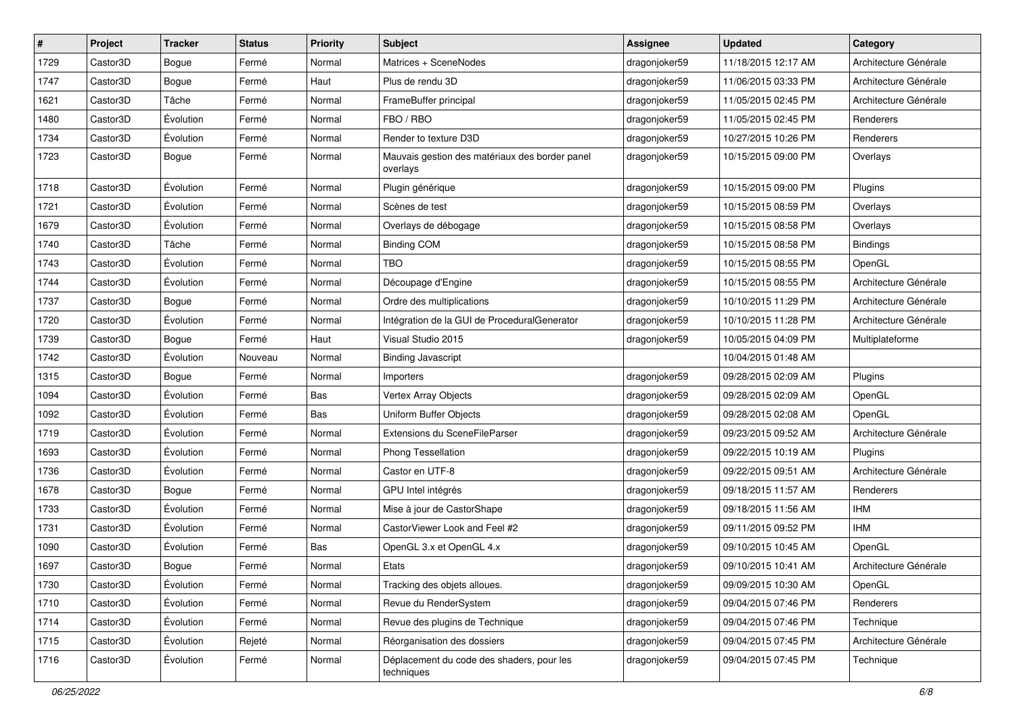| $\vert$ # | Project  | <b>Tracker</b> | <b>Status</b> | <b>Priority</b> | <b>Subject</b>                                             | <b>Assignee</b> | <b>Updated</b>      | Category              |
|-----------|----------|----------------|---------------|-----------------|------------------------------------------------------------|-----------------|---------------------|-----------------------|
| 1729      | Castor3D | <b>Bogue</b>   | Fermé         | Normal          | Matrices + SceneNodes                                      | dragonjoker59   | 11/18/2015 12:17 AM | Architecture Générale |
| 1747      | Castor3D | <b>Bogue</b>   | Fermé         | Haut            | Plus de rendu 3D                                           | dragonjoker59   | 11/06/2015 03:33 PM | Architecture Générale |
| 1621      | Castor3D | Tâche          | Fermé         | Normal          | FrameBuffer principal                                      | dragonjoker59   | 11/05/2015 02:45 PM | Architecture Générale |
| 1480      | Castor3D | Évolution      | Fermé         | Normal          | FBO / RBO                                                  | dragonjoker59   | 11/05/2015 02:45 PM | Renderers             |
| 1734      | Castor3D | Évolution      | Fermé         | Normal          | Render to texture D3D                                      | dragonjoker59   | 10/27/2015 10:26 PM | Renderers             |
| 1723      | Castor3D | <b>Bogue</b>   | Fermé         | Normal          | Mauvais gestion des matériaux des border panel<br>overlays | dragonjoker59   | 10/15/2015 09:00 PM | Overlays              |
| 1718      | Castor3D | Évolution      | Fermé         | Normal          | Plugin générique                                           | dragonjoker59   | 10/15/2015 09:00 PM | Plugins               |
| 1721      | Castor3D | Évolution      | Fermé         | Normal          | Scènes de test                                             | dragonjoker59   | 10/15/2015 08:59 PM | Overlays              |
| 1679      | Castor3D | Évolution      | Fermé         | Normal          | Overlays de débogage                                       | dragonjoker59   | 10/15/2015 08:58 PM | Overlays              |
| 1740      | Castor3D | Tâche          | Fermé         | Normal          | <b>Binding COM</b>                                         | dragonjoker59   | 10/15/2015 08:58 PM | Bindings              |
| 1743      | Castor3D | Évolution      | Fermé         | Normal          | <b>TBO</b>                                                 | dragonjoker59   | 10/15/2015 08:55 PM | OpenGL                |
| 1744      | Castor3D | Évolution      | Fermé         | Normal          | Découpage d'Engine                                         | dragonjoker59   | 10/15/2015 08:55 PM | Architecture Générale |
| 1737      | Castor3D | <b>Bogue</b>   | Fermé         | Normal          | Ordre des multiplications                                  | dragonjoker59   | 10/10/2015 11:29 PM | Architecture Générale |
| 1720      | Castor3D | Évolution      | Fermé         | Normal          | Intégration de la GUI de ProceduralGenerator               | dragonjoker59   | 10/10/2015 11:28 PM | Architecture Générale |
| 1739      | Castor3D | Bogue          | Fermé         | Haut            | Visual Studio 2015                                         | dragonjoker59   | 10/05/2015 04:09 PM | Multiplateforme       |
| 1742      | Castor3D | Évolution      | Nouveau       | Normal          | <b>Binding Javascript</b>                                  |                 | 10/04/2015 01:48 AM |                       |
| 1315      | Castor3D | Bogue          | Fermé         | Normal          | Importers                                                  | dragonjoker59   | 09/28/2015 02:09 AM | Plugins               |
| 1094      | Castor3D | Évolution      | Fermé         | Bas             | Vertex Array Objects                                       | dragonjoker59   | 09/28/2015 02:09 AM | OpenGL                |
| 1092      | Castor3D | Évolution      | Fermé         | Bas             | Uniform Buffer Objects                                     | dragonjoker59   | 09/28/2015 02:08 AM | OpenGL                |
| 1719      | Castor3D | Évolution      | Fermé         | Normal          | Extensions du SceneFileParser                              | dragonjoker59   | 09/23/2015 09:52 AM | Architecture Générale |
| 1693      | Castor3D | Évolution      | Fermé         | Normal          | Phong Tessellation                                         | dragonjoker59   | 09/22/2015 10:19 AM | Plugins               |
| 1736      | Castor3D | Évolution      | Fermé         | Normal          | Castor en UTF-8                                            | dragonjoker59   | 09/22/2015 09:51 AM | Architecture Générale |
| 1678      | Castor3D | <b>Bogue</b>   | Fermé         | Normal          | GPU Intel intégrés                                         | dragonjoker59   | 09/18/2015 11:57 AM | Renderers             |
| 1733      | Castor3D | Évolution      | Fermé         | Normal          | Mise à jour de CastorShape                                 | dragonjoker59   | 09/18/2015 11:56 AM | <b>IHM</b>            |
| 1731      | Castor3D | Évolution      | Fermé         | Normal          | CastorViewer Look and Feel #2                              | dragonjoker59   | 09/11/2015 09:52 PM | <b>IHM</b>            |
| 1090      | Castor3D | Évolution      | Fermé         | Bas             | OpenGL 3.x et OpenGL 4.x                                   | dragonjoker59   | 09/10/2015 10:45 AM | OpenGL                |
| 1697      | Castor3D | <b>Bogue</b>   | Fermé         | Normal          | Etats                                                      | dragonjoker59   | 09/10/2015 10:41 AM | Architecture Générale |
| 1730      | Castor3D | Évolution      | Fermé         | Normal          | Tracking des objets alloues.                               | dragonjoker59   | 09/09/2015 10:30 AM | OpenGL                |
| 1710      | Castor3D | Évolution      | Fermé         | Normal          | Revue du RenderSystem                                      | dragonjoker59   | 09/04/2015 07:46 PM | Renderers             |
| 1714      | Castor3D | Évolution      | Fermé         | Normal          | Revue des plugins de Technique                             | dragonjoker59   | 09/04/2015 07:46 PM | Technique             |
| 1715      | Castor3D | Évolution      | Rejeté        | Normal          | Réorganisation des dossiers                                | dragonjoker59   | 09/04/2015 07:45 PM | Architecture Générale |
| 1716      | Castor3D | Évolution      | Fermé         | Normal          | Déplacement du code des shaders, pour les<br>techniques    | dragonjoker59   | 09/04/2015 07:45 PM | Technique             |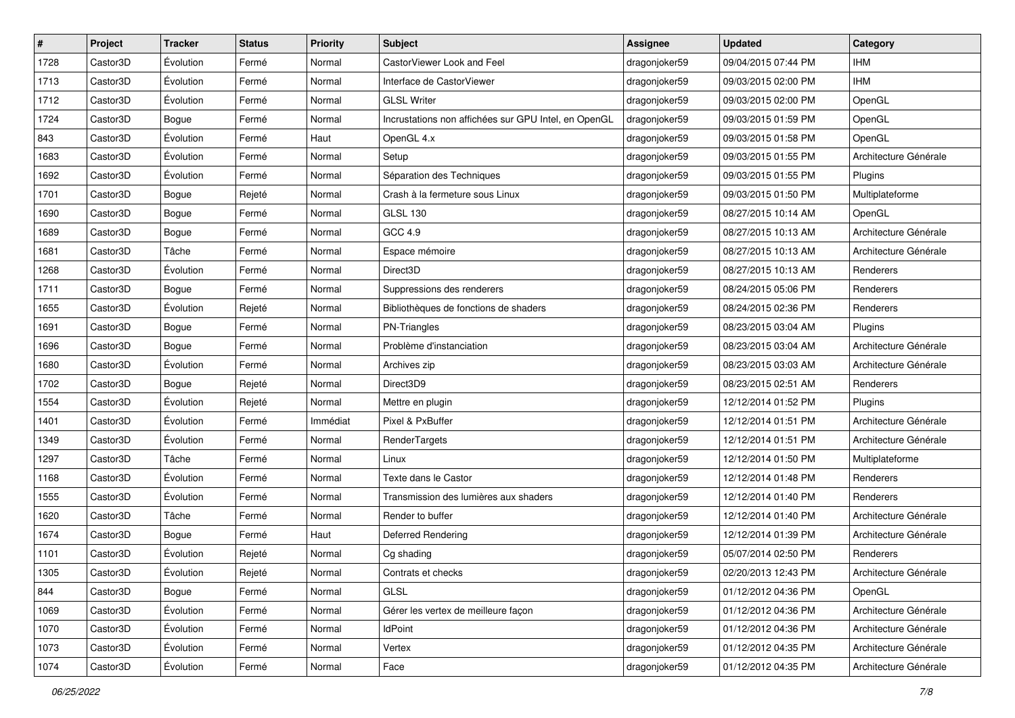| #    | Project  | <b>Tracker</b> | <b>Status</b> | <b>Priority</b> | Subject                                              | <b>Assignee</b> | <b>Updated</b>      | Category              |
|------|----------|----------------|---------------|-----------------|------------------------------------------------------|-----------------|---------------------|-----------------------|
| 1728 | Castor3D | Évolution      | Fermé         | Normal          | CastorViewer Look and Feel                           | dragonjoker59   | 09/04/2015 07:44 PM | <b>IHM</b>            |
| 1713 | Castor3D | Évolution      | Fermé         | Normal          | Interface de CastorViewer                            | dragonjoker59   | 09/03/2015 02:00 PM | <b>IHM</b>            |
| 1712 | Castor3D | Évolution      | Fermé         | Normal          | <b>GLSL Writer</b>                                   | dragonjoker59   | 09/03/2015 02:00 PM | OpenGL                |
| 1724 | Castor3D | Bogue          | Fermé         | Normal          | Incrustations non affichées sur GPU Intel, en OpenGL | dragonjoker59   | 09/03/2015 01:59 PM | OpenGL                |
| 843  | Castor3D | Évolution      | Fermé         | Haut            | OpenGL 4.x                                           | dragonjoker59   | 09/03/2015 01:58 PM | OpenGL                |
| 1683 | Castor3D | Évolution      | Fermé         | Normal          | Setup                                                | dragonjoker59   | 09/03/2015 01:55 PM | Architecture Générale |
| 1692 | Castor3D | Évolution      | Fermé         | Normal          | Séparation des Techniques                            | dragonjoker59   | 09/03/2015 01:55 PM | Plugins               |
| 1701 | Castor3D | Bogue          | Rejeté        | Normal          | Crash à la fermeture sous Linux                      | dragonjoker59   | 09/03/2015 01:50 PM | Multiplateforme       |
| 1690 | Castor3D | Bogue          | Fermé         | Normal          | <b>GLSL 130</b>                                      | dragonjoker59   | 08/27/2015 10:14 AM | OpenGL                |
| 1689 | Castor3D | <b>Bogue</b>   | Fermé         | Normal          | GCC 4.9                                              | dragonjoker59   | 08/27/2015 10:13 AM | Architecture Générale |
| 1681 | Castor3D | Tâche          | Fermé         | Normal          | Espace mémoire                                       | dragonjoker59   | 08/27/2015 10:13 AM | Architecture Générale |
| 1268 | Castor3D | Évolution      | Fermé         | Normal          | Direct3D                                             | dragonjoker59   | 08/27/2015 10:13 AM | Renderers             |
| 1711 | Castor3D | Bogue          | Fermé         | Normal          | Suppressions des renderers                           | dragonjoker59   | 08/24/2015 05:06 PM | Renderers             |
| 1655 | Castor3D | Évolution      | Rejeté        | Normal          | Bibliothèques de fonctions de shaders                | dragonjoker59   | 08/24/2015 02:36 PM | Renderers             |
| 1691 | Castor3D | Bogue          | Fermé         | Normal          | PN-Triangles                                         | dragonjoker59   | 08/23/2015 03:04 AM | Plugins               |
| 1696 | Castor3D | Bogue          | Fermé         | Normal          | Problème d'instanciation                             | dragonjoker59   | 08/23/2015 03:04 AM | Architecture Générale |
| 1680 | Castor3D | Évolution      | Fermé         | Normal          | Archives zip                                         | dragonjoker59   | 08/23/2015 03:03 AM | Architecture Générale |
| 1702 | Castor3D | Bogue          | Rejeté        | Normal          | Direct3D9                                            | dragonjoker59   | 08/23/2015 02:51 AM | Renderers             |
| 1554 | Castor3D | Évolution      | Rejeté        | Normal          | Mettre en plugin                                     | dragonjoker59   | 12/12/2014 01:52 PM | Plugins               |
| 1401 | Castor3D | Évolution      | Fermé         | Immédiat        | Pixel & PxBuffer                                     | dragonjoker59   | 12/12/2014 01:51 PM | Architecture Générale |
| 1349 | Castor3D | Évolution      | Fermé         | Normal          | RenderTargets                                        | dragonjoker59   | 12/12/2014 01:51 PM | Architecture Générale |
| 1297 | Castor3D | Tâche          | Fermé         | Normal          | Linux                                                | dragonjoker59   | 12/12/2014 01:50 PM | Multiplateforme       |
| 1168 | Castor3D | Évolution      | Fermé         | Normal          | Texte dans le Castor                                 | dragonjoker59   | 12/12/2014 01:48 PM | Renderers             |
| 1555 | Castor3D | Évolution      | Fermé         | Normal          | Transmission des lumières aux shaders                | dragonjoker59   | 12/12/2014 01:40 PM | Renderers             |
| 1620 | Castor3D | Tâche          | Fermé         | Normal          | Render to buffer                                     | dragonjoker59   | 12/12/2014 01:40 PM | Architecture Générale |
| 1674 | Castor3D | Bogue          | Fermé         | Haut            | Deferred Rendering                                   | dragonjoker59   | 12/12/2014 01:39 PM | Architecture Générale |
| 1101 | Castor3D | Évolution      | Rejeté        | Normal          | Cg shading                                           | dragonjoker59   | 05/07/2014 02:50 PM | Renderers             |
| 1305 | Castor3D | Évolution      | Rejeté        | Normal          | Contrats et checks                                   | dragonjoker59   | 02/20/2013 12:43 PM | Architecture Générale |
| 844  | Castor3D | Bogue          | Fermé         | Normal          | GLSL                                                 | dragonjoker59   | 01/12/2012 04:36 PM | OpenGL                |
| 1069 | Castor3D | Évolution      | Fermé         | Normal          | Gérer les vertex de meilleure façon                  | dragonjoker59   | 01/12/2012 04:36 PM | Architecture Générale |
| 1070 | Castor3D | Évolution      | Fermé         | Normal          | <b>IdPoint</b>                                       | dragonjoker59   | 01/12/2012 04:36 PM | Architecture Générale |
| 1073 | Castor3D | Évolution      | Fermé         | Normal          | Vertex                                               | dragonjoker59   | 01/12/2012 04:35 PM | Architecture Générale |
| 1074 | Castor3D | Évolution      | Fermé         | Normal          | Face                                                 | dragonjoker59   | 01/12/2012 04:35 PM | Architecture Générale |